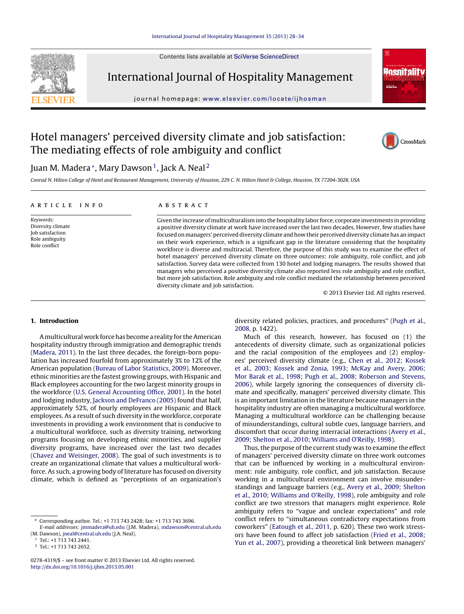Contents lists available at SciVerse [ScienceDirect](http://www.sciencedirect.com/science/journal/02784319)



International Journal of Hospitality Management

jour nal home page: [www.elsevier.com/locate/ijhosman](http://www.elsevier.com/locate/ijhosman)



## Hotel managers' perceived diversity climate and job satisfaction: The mediating effects of role ambiguity and conflict



### Juan M. Madera<sup>∗</sup>, Mary Dawson<sup>1</sup>, Jack A. Neal<sup>2</sup>

Conrad N. Hilton College of Hotel and Restaurant Management, University of Houston, 229 C. N. Hilton Hotel & College, Houston, TX 77204-3028, USA

diversity climate and job satisfaction.

#### a r t i c l e i n f o Keywords: Diversity climate Job satisfaction Role ambiguity Role conflict A B S T R A C T Given the increase of multiculturalism into the hospitality labor force, corporate investments in providing a positive diversity climate at work have increased over the last two decades. However, few studies have focused on managers' perceived diversity climate and how their perceived diversity climate has an impact on their work experience, which is a significant gap in the literature considering that the hospitality workforce is diverse and multiracial. Therefore, the purpose of this study was to examine the effect of hotel managers' perceived diversity climate on three outcomes: role ambiguity, role conflict, and job satisfaction. Survey data were collected from 130 hotel and lodging managers. The results showed that managers who perceived a positive diversity climate also reported less role ambiguity and role conflict,

© 2013 Elsevier Ltd. All rights reserved.

#### **1. Introduction**

A multicultural work force has become a reality for the American hospitality industry through immigration and demographic trends ([Madera,](#page--1-0) [2011\).](#page--1-0) In the last three decades, the foreign-born population has increased fourfold from approximately 3% to 12% of the American population ([Bureau](#page--1-0) [of](#page--1-0) [Labor](#page--1-0) [Statistics,](#page--1-0) [2009\).](#page--1-0) Moreover, ethnic minorities are the fastest growing groups, with Hispanic and Black employees accounting for the two largest minority groups in the workforce [\(U.S.](#page--1-0) [General](#page--1-0) [Accounting](#page--1-0) [Office,](#page--1-0) [2001\).](#page--1-0) In the hotel and lodging industry, [Jackson](#page--1-0) [and](#page--1-0) [DeFranco](#page--1-0) [\(2005\)](#page--1-0) found that half, approximately 52%, of hourly employees are Hispanic and Black employees. As a result of such diversity in the workforce, corporate investments in providing a work environment that is conducive to a multicultural workforce, such as diversity training, networking programs focusing on developing ethnic minorities, and supplier diversity programs, have increased over the last two decades ([Chavez](#page--1-0) [and](#page--1-0) [Weisinger,](#page--1-0) [2008\).](#page--1-0) The goal of such investments is to create an organizational climate that values a multicultural workforce. As such, a growing body of literature has focused on diversity climate, which is defined as "perceptions of an organization's

diversity related policies, practices, and procedures" ([Pugh](#page--1-0) et [al.,](#page--1-0) [2008,](#page--1-0) p. 1422).

but more job satisfaction. Role ambiguity and role conflict mediated the relationship between perceived

Much of this research, however, has focused on (1) the antecedents of diversity climate, such as organizational policies and the racial composition of the employees and (2) employees' perceived diversity climate (e.g., [Chen](#page--1-0) et [al.,](#page--1-0) [2012;](#page--1-0) [Kossek](#page--1-0) et [al.,](#page--1-0) [2003;](#page--1-0) [Kossek](#page--1-0) [and](#page--1-0) [Zonia,](#page--1-0) [1993;](#page--1-0) [McKay](#page--1-0) [and](#page--1-0) [Avery,](#page--1-0) [2006;](#page--1-0) [Mor](#page--1-0) [Barak](#page--1-0) et [al.,](#page--1-0) [1998;](#page--1-0) [Pugh](#page--1-0) et [al.,](#page--1-0) [2008;](#page--1-0) [Roberson](#page--1-0) [and](#page--1-0) [Stevens,](#page--1-0) [2006\),](#page--1-0) while largely ignoring the consequences of diversity climate and specifically, managers' perceived diversity climate. This is an important limitation in the literature because managers in the hospitality industry are often managing a multicultural workforce. Managing a multicultural workforce can be challenging because of misunderstandings, cultural subtle cues, language barriers, and discomfort that occur during interracial interactions ([Avery](#page--1-0) et [al.,](#page--1-0) [2009;](#page--1-0) [Shelton](#page--1-0) et [al.,](#page--1-0) [2010;](#page--1-0) [Williams](#page--1-0) [and](#page--1-0) [O'Reilly,](#page--1-0) [1998\).](#page--1-0)

Thus, the purpose of the current study was to examine the effect of managers' perceived diversity climate on three work outcomes that can be influenced by working in a multicultural environment: role ambiguity, role conflict, and job satisfaction. Because working in a multicultural environment can involve misunderstandings and language barriers (e.g., [Avery](#page--1-0) et [al.,](#page--1-0) [2009;](#page--1-0) [Shelton](#page--1-0) et [al.,](#page--1-0) [2010;](#page--1-0) [Williams](#page--1-0) [and](#page--1-0) [O'Reilly,](#page--1-0) [1998\),](#page--1-0) role ambiguity and role conflict are two stressors that managers might experience. Role ambiguity refers to "vague and unclear expectations" and role conflict refers to "simultaneous contradictory expectations from coworkers" ([Eatough](#page--1-0) et [al.,](#page--1-0) [2011,](#page--1-0) p. 620). These two work stressors have been found to affect job satisfaction [\(Fried](#page--1-0) et [al.,](#page--1-0) [2008;](#page--1-0) [Yun](#page--1-0) et [al.,](#page--1-0) [2007\),](#page--1-0) providing a theoretical link between managers'

<sup>∗</sup> Corresponding author. Tel.: +1 713 743 2428; fax: +1 713 743 3696. E-mail addresses: [jmmadera@uh.edu](mailto:jmmadera@uh.edu) (J.M. Madera), [mdawson@central.uh.edu](mailto:mdawson@central.uh.edu)

<sup>(</sup>M. Dawson), [jneal@central.uh.edu](mailto:jneal@central.uh.edu) (J.A. Neal).

 $1$  Tel.: +1 713 743 2441.

<sup>2</sup> Tel.: +1 713 743 2652.

<sup>0278-4319/\$</sup> – see front matter © 2013 Elsevier Ltd. All rights reserved. [http://dx.doi.org/10.1016/j.ijhm.2013.05.001](dx.doi.org/10.1016/j.ijhm.2013.05.001)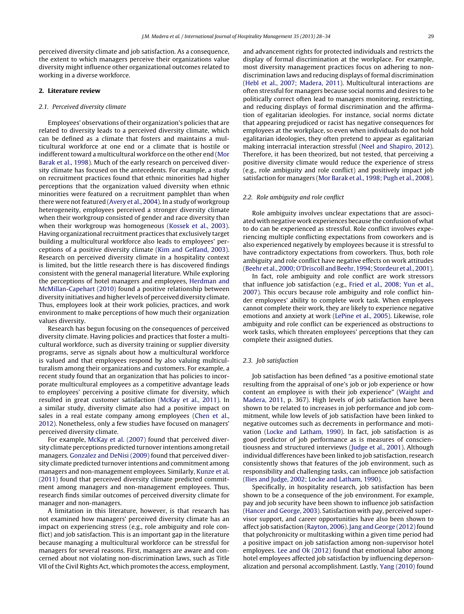perceived diversity climate and job satisfaction. As a consequence, the extent to which managers perceive their organizations value diversity might influence other organizational outcomes related to working in a diverse workforce.

#### **2. Literature review**

#### 2.1. Perceived diversity climate

Employees' observations of their organization's policies that are related to diversity leads to a perceived diversity climate, which can be defined as a climate that fosters and maintains a multicultural workforce at one end or a climate that is hostile or indifferent toward a multicultural workforce on the other end [\(Mor](#page--1-0) [Barak](#page--1-0) et [al.,](#page--1-0) [1998\).](#page--1-0) Much of the early research on perceived diversity climate has focused on the antecedents. For example, a study on recruitment practices found that ethnic minorities had higher perceptions that the organization valued diversity when ethnic minorities were featured on a recruitment pamphlet than when there were not featured ([Avery](#page--1-0) et [al.,](#page--1-0) [2004\).](#page--1-0) In a study of workgroup heterogeneity, employees perceived a stronger diversity climate when their workgroup consisted of gender and race diversity than when their workgroup was homogeneous ([Kossek](#page--1-0) et [al.,](#page--1-0) [2003\).](#page--1-0) Having organizational recruitment practices that exclusively target building a multicultural workforce also leads to employees' perceptions of a positive diversity climate ([Kim](#page--1-0) [and](#page--1-0) [Gelfand,](#page--1-0) [2003\).](#page--1-0) Research on perceived diversity climate in a hospitality context is limited, but the little research there is has discovered findings consistent with the general managerial literature. While exploring the perceptions of hotel managers and employees, [Herdman](#page--1-0) [and](#page--1-0) [McMillan-Capehart](#page--1-0) [\(2010\)](#page--1-0) found a positive relationship between diversity initiatives and higher levels of perceived diversity climate. Thus, employees look at their work policies, practices, and work environment to make perceptions of how much their organization values diversity.

Research has begun focusing on the consequences of perceived diversity climate. Having policies and practices that foster a multicultural workforce, such as diversity training or supplier diversity programs, serve as signals about how a multicultural workforce is valued and that employees respond by also valuing multiculturalism among their organizations and customers. For example, a recent study found that an organization that has policies to incorporate multicultural employees as a competitive advantage leads to employees' perceiving a positive climate for diversity, which resulted in great customer satisfaction [\(McKay](#page--1-0) et [al.,](#page--1-0) [2011\).](#page--1-0) In a similar study, diversity climate also had a positive impact on sales in a real estate company among employees ([Chen](#page--1-0) et [al.,](#page--1-0) [2012\).](#page--1-0) Nonetheless, only a few studies have focused on managers' perceived diversity climate.

For example, [McKay](#page--1-0) et [al.](#page--1-0) [\(2007\)](#page--1-0) found that perceived diversity climate perceptions predicted turnover intentions among retail managers. [Gonzalez](#page--1-0) [and](#page--1-0) [DeNisi](#page--1-0) [\(2009\)](#page--1-0) found that perceived diversity climate predicted turnover intentions and commitment among managers and non-management employees. Similarly, [Kunze](#page--1-0) et [al.](#page--1-0) [\(2011\)](#page--1-0) found that perceived diversity climate predicted commitment among managers and non-management employees. Thus, research finds similar outcomes of perceived diversity climate for manager and non-managers.

A limitation in this literature, however, is that research has not examined how managers' perceived diversity climate has an impact on experiencing stress (e.g., role ambiguity and role conflict) and job satisfaction. This is an important gap in the literature because managing a multicultural workforce can be stressful for managers for several reasons. First, managers are aware and concerned about not violating non-discrimination laws, such as Title VII of the Civil Rights Act, which promotes the access, employment, and advancement rights for protected individuals and restricts the display of formal discrimination at the workplace. For example, most diversity management practices focus on adhering to nondiscrimination laws and reducing displays of formal discrimination [\(Hebl](#page--1-0) et [al.,](#page--1-0) [2007;](#page--1-0) [Madera,](#page--1-0) [2011\).](#page--1-0) Multicultural interactions are often stressful for managers because social norms and desires to be politically correct often lead to managers monitoring, restricting, and reducing displays of formal discrimination and the affirmation of egalitarian ideologies. For instance, social norms dictate that appearing prejudiced or racist has negative consequences for employees at the workplace, so even when individuals do not hold egalitarian ideologies, they often pretend to appear as egalitarian making interracial interaction stressful [\(Neel](#page--1-0) [and](#page--1-0) [Shapiro,](#page--1-0) [2012\).](#page--1-0) Therefore, it has been theorized, but not tested, that perceiving a positive diversity climate would reduce the experience of stress (e.g., role ambiguity and role conflict) and positively impact job satisfaction for managers ([Mor](#page--1-0) [Barak](#page--1-0) et [al.,](#page--1-0) [1998;](#page--1-0) [Pugh](#page--1-0) et [al.,](#page--1-0) [2008\).](#page--1-0)

#### 2.2. Role ambiguity and role conflict

Role ambiguity involves unclear expectations that are associated with negative work experiences because the confusion of what to do can be experienced as stressful. Role conflict involves experiencing multiple conflicting expectations from coworkers and is also experienced negatively by employees because it is stressful to have contradictory expectations from coworkers. Thus, both role ambiguity and role conflict have negative effects on work attitudes [\(Beehr](#page--1-0) et [al.,](#page--1-0) [2000;](#page--1-0) [O'Driscoll](#page--1-0) and Beehr, [1994;](#page--1-0) [Stordeur](#page--1-0) et al., [2001\).](#page--1-0)

In fact, role ambiguity and role conflict are work stressors that influence job satisfaction (e.g., [Fried](#page--1-0) et [al.,](#page--1-0) [2008;](#page--1-0) [Yun](#page--1-0) et [al.,](#page--1-0) [2007\).](#page--1-0) This occurs because role ambiguity and role conflict hinder employees' ability to complete work task. When employees cannot complete their work, they are likely to experience negative emotions and anxiety at work ([LePine](#page--1-0) et [al.,](#page--1-0) [2005\).](#page--1-0) Likewise, role ambiguity and role conflict can be experienced as obstructions to work tasks, which threaten employees' perceptions that they can complete their assigned duties.

#### 2.3. Job satisfaction

Job satisfaction has been defined "as a positive emotional state resulting from the appraisal of one's job or job experience or how content an employee is with their job experience" [\(Waight](#page--1-0) [and](#page--1-0) [Madera,](#page--1-0) [2011,](#page--1-0) p. 367). High levels of job satisfaction have been shown to be related to increases in job performance and job commitment, while low levels of job satisfaction have been linked to negative outcomes such as decrements in performance and motivation [\(Locke](#page--1-0) [and](#page--1-0) [Latham,](#page--1-0) [1990\).](#page--1-0) In fact, job satisfaction is as good predictor of job performance as is measures of conscientiousness and structured interviews [\(Judge](#page--1-0) et [al.,](#page--1-0) [2001\).](#page--1-0) Although individual differences have been linked to job satisfaction, research consistently shows that features of the job environment, such as responsibility and challenging tasks, can influence job satisfaction [\(Ilies](#page--1-0) [and](#page--1-0) [Judge,](#page--1-0) [2002;](#page--1-0) [Locke](#page--1-0) [and](#page--1-0) [Latham,](#page--1-0) [1990\).](#page--1-0)

Specifically, in hospitality research, job satisfaction has been shown to be a consequence of the job environment. For example, pay and job security have been shown to influence job satisfaction [\(Hancer](#page--1-0) [and](#page--1-0) [George,](#page--1-0) [2003\).](#page--1-0) Satisfaction with pay, perceived supervisor support, and career opportunities have also been shown to affect job satisfaction ([Rayton,](#page--1-0) [2006\).](#page--1-0) [Jang](#page--1-0) [and](#page--1-0) [George](#page--1-0) (2012) found that polychronicity or multitasking within a given time period had a positive impact on job satisfaction among non-supervisor hotel employees. [Lee](#page--1-0) [and](#page--1-0) [Ok](#page--1-0) [\(2012\)](#page--1-0) found that emotional labor among hotel employees affected job satisfaction by influencing depersonalization and personal accomplishment. Lastly, [Yang](#page--1-0) [\(2010\)](#page--1-0) found